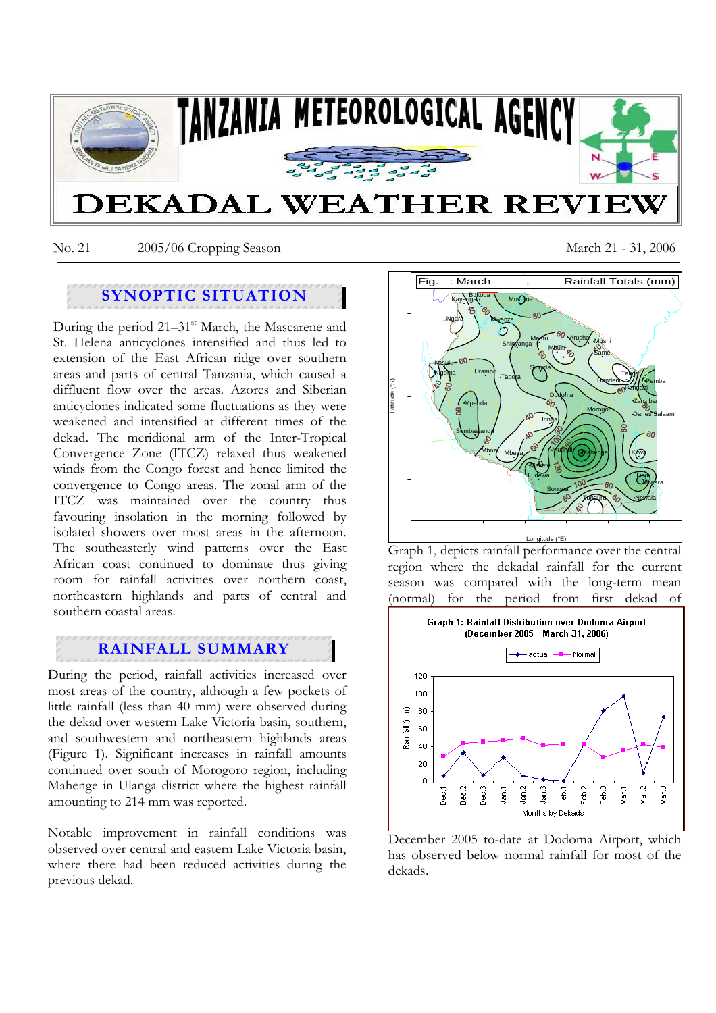

No. 21 2005/06 Cropping Season March 21 - 31, 2006

# **SYNOPTIC SITUATION**

During the period  $21-31$ <sup>st</sup> March, the Mascarene and St. Helena anticyclones intensified and thus led to extension of the East African ridge over southern areas and parts of central Tanzania, which caused a diffluent flow over the areas. Azores and Siberian anticyclones indicated some fluctuations as they were weakened and intensified at different times of the dekad. The meridional arm of the Inter-Tropical Convergence Zone (ITCZ) relaxed thus weakened winds from the Congo forest and hence limited the convergence to Congo areas. The zonal arm of the ITCZ was maintained over the country thus favouring insolation in the morning followed by isolated showers over most areas in the afternoon. The southeasterly wind patterns over the East African coast continued to dominate thus giving room for rainfall activities over northern coast, northeastern highlands and parts of central and southern coastal areas.

# **RAINFALL SUMMARY**

During the period, rainfall activities increased over most areas of the country, although a few pockets of little rainfall (less than 40 mm) were observed during the dekad over western Lake Victoria basin, southern, and southwestern and northeastern highlands areas (Figure 1). Significant increases in rainfall amounts continued over south of Morogoro region, including Mahenge in Ulanga district where the highest rainfall amounting to 214 mm was reported.

Notable improvement in rainfall conditions was observed over central and eastern Lake Victoria basin, where there had been reduced activities during the previous dekad.



Graph 1, depicts rainfall performance over the central region where the dekadal rainfall for the current season was compared with the long-term mean (normal) for the period from first dekad of



December 2005 to-date at Dodoma Airport, which has observed below normal rainfall for most of the dekads.